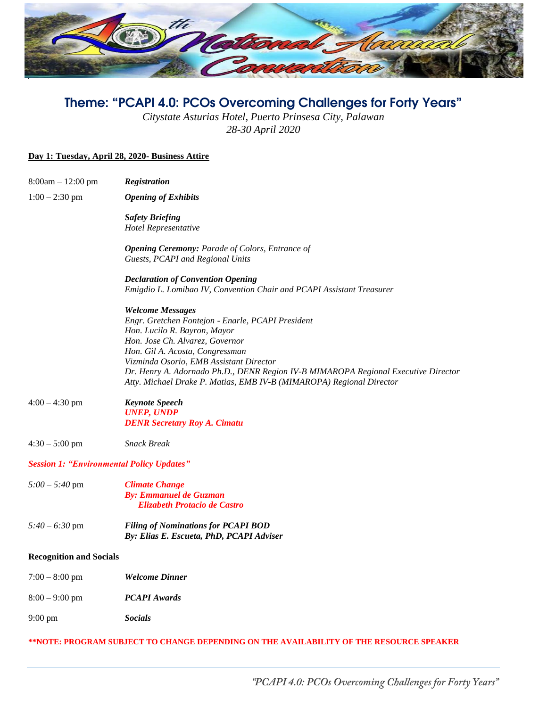

# Theme: "PCAPI 4.0: PCOs Overcoming Challenges for Forty Years"

*Citystate Asturias Hotel, Puerto Prinsesa City, Palawan 28-30 April 2020*

#### **Day 1: Tuesday, April 28, 2020- Business Attire**

| $8:00am - 12:00 pm$                                                                     | Registration                                                                                                                                                                                                                             |  |
|-----------------------------------------------------------------------------------------|------------------------------------------------------------------------------------------------------------------------------------------------------------------------------------------------------------------------------------------|--|
| $1:00 - 2:30$ pm                                                                        | <b>Opening of Exhibits</b>                                                                                                                                                                                                               |  |
|                                                                                         | <b>Safety Briefing</b><br>Hotel Representative                                                                                                                                                                                           |  |
|                                                                                         | <b>Opening Ceremony:</b> Parade of Colors, Entrance of<br>Guests, PCAPI and Regional Units                                                                                                                                               |  |
|                                                                                         | <b>Declaration of Convention Opening</b><br>Emigdio L. Lomibao IV, Convention Chair and PCAPI Assistant Treasurer                                                                                                                        |  |
|                                                                                         | <b>Welcome Messages</b><br>Engr. Gretchen Fontejon - Enarle, PCAPI President<br>Hon. Lucilo R. Bayron, Mayor<br>Hon. Jose Ch. Alvarez, Governor                                                                                          |  |
|                                                                                         | Hon. Gil A. Acosta, Congressman<br>Vizminda Osorio, EMB Assistant Director<br>Dr. Henry A. Adornado Ph.D., DENR Region IV-B MIMAROPA Regional Executive Director<br>Atty. Michael Drake P. Matias, EMB IV-B (MIMAROPA) Regional Director |  |
| $4:00 - 4:30$ pm                                                                        | <b>Keynote Speech</b><br><b>UNEP, UNDP</b><br><b>DENR Secretary Roy A. Cimatu</b>                                                                                                                                                        |  |
| $4:30 - 5:00$ pm                                                                        | <b>Snack Break</b>                                                                                                                                                                                                                       |  |
| <b>Session 1: "Environmental Policy Updates"</b>                                        |                                                                                                                                                                                                                                          |  |
| $5:00 - 5:40$ pm                                                                        | <b>Climate Change</b><br><b>By: Emmanuel de Guzman</b><br><b>Elizabeth Protacio de Castro</b>                                                                                                                                            |  |
| $5:40 - 6:30$ pm                                                                        | <b>Filing of Nominations for PCAPI BOD</b><br>By: Elias E. Escueta, PhD, PCAPI Adviser                                                                                                                                                   |  |
| <b>Recognition and Socials</b>                                                          |                                                                                                                                                                                                                                          |  |
| $7:00 - 8:00$ pm                                                                        | Welcome Dinner                                                                                                                                                                                                                           |  |
| $8:00 - 9:00$ pm                                                                        | <b>PCAPI</b> Awards                                                                                                                                                                                                                      |  |
| $9:00 \text{ pm}$                                                                       | <b>Socials</b>                                                                                                                                                                                                                           |  |
| **NOTE: PROGRAM SUBJECT TO CHANGE DEPENDING ON THE AVAILABILITY OF THE RESOURCE SPEAKER |                                                                                                                                                                                                                                          |  |

"PCAPI 4.0: PCOs Overcoming Challenges for Forty Years"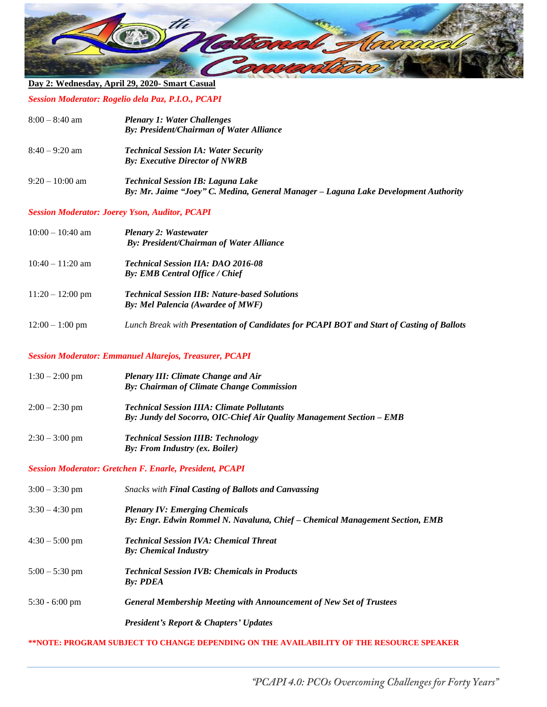

## **Day 2: Wednesday, April 29, 2020- Smart Casual**

*Session Moderator: Rogelio dela Paz, P.I.O., PCAPI*

| $8:00 - 8:40$ am | <b>Plenary 1: Water Challenges</b><br>By: President/Chairman of Water Alliance                                                  |
|------------------|---------------------------------------------------------------------------------------------------------------------------------|
| $8:40 - 9:20$ am | <b>Technical Session IA: Water Security</b><br><b>By: Executive Director of NWRB</b>                                            |
| $9:20-10:00$ am  | <b>Technical Session IB: Laguna Lake</b><br>By: Mr. Jaime "Joey" C. Medina, General Manager - Laguna Lake Development Authority |
|                  |                                                                                                                                 |

#### *Session Moderator: Joerey Yson, Auditor, PCAPI*

| $10:00 - 10:40$ am | <b>Plenary 2: Wastewater</b><br><b>By: President/Chairman of Water Alliance</b>                  |
|--------------------|--------------------------------------------------------------------------------------------------|
| $10:40 - 11:20$ am | <b>Technical Session IIA: DAO 2016-08</b><br><b>By: EMB Central Office / Chief</b>               |
| $11:20 - 12:00$ pm | <b>Technical Session IIB: Nature-based Solutions</b><br><b>By: Mel Palencia (Awardee of MWF)</b> |
| $12:00 - 1:00$ pm  | Lunch Break with Presentation of Candidates for PCAPI BOT and Start of Casting of Ballots        |

#### *Session Moderator: Emmanuel Altarejos, Treasurer, PCAPI*

| $1:30-2:00$ pm         | <b>Plenary III: Climate Change and Air</b><br>By: Chairman of Climate Change Commission                                    |
|------------------------|----------------------------------------------------------------------------------------------------------------------------|
| $2:00-2:30$ pm         | <b>Technical Session IIIA: Climate Pollutants</b><br>By: Jundy del Socorro, OIC-Chief Air Quality Management Section – EMB |
| $2:30-3:00 \text{ pm}$ | <b>Technical Session IIIB: Technology</b><br>By: From Industry (ex. Boiler)                                                |

#### *Session Moderator: Gretchen F. Enarle, President, PCAPI*

| $3:00 - 3:30$ pm | <b>Snacks with Final Casting of Ballots and Canvassing</b>                                                            |
|------------------|-----------------------------------------------------------------------------------------------------------------------|
| $3:30 - 4:30$ pm | <b>Plenary IV: Emerging Chemicals</b><br>By: Engr. Edwin Rommel N. Navaluna, Chief - Chemical Management Section, EMB |
| $4:30 - 5:00$ pm | <b>Technical Session IVA: Chemical Threat</b><br><b>By: Chemical Industry</b>                                         |
| $5:00 - 5:30$ pm | <b>Technical Session IVB: Chemicals in Products</b><br><b>By: PDEA</b>                                                |
| $5:30 - 6:00$ pm | <b>General Membership Meeting with Announcement of New Set of Trustees</b>                                            |
|                  | <b>President's Report &amp; Chapters' Updates</b>                                                                     |

#### **\*\*NOTE: PROGRAM SUBJECT TO CHANGE DEPENDING ON THE AVAILABILITY OF THE RESOURCE SPEAKER**

"PCAPI 4.0: PCOs Overcoming Challenges for Forty Years"